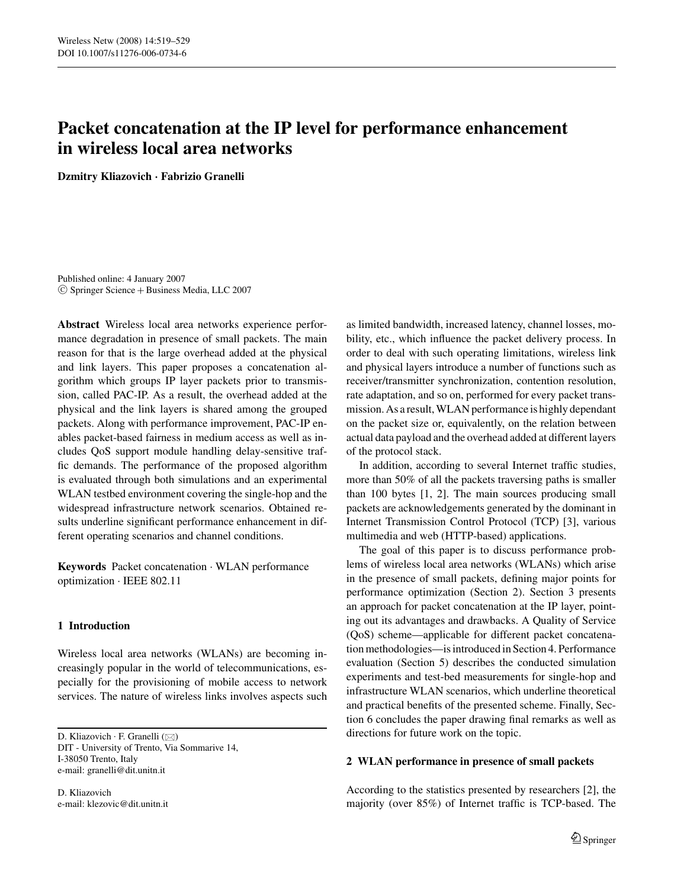# **Packet concatenation at the IP level for performance enhancement in wireless local area networks**

**Dzmitry Kliazovich** *·* **Fabrizio Granelli**

Published online: 4 January 2007  $©$  Springer Science + Business Media, LLC 2007

**Abstract** Wireless local area networks experience performance degradation in presence of small packets. The main reason for that is the large overhead added at the physical and link layers. This paper proposes a concatenation algorithm which groups IP layer packets prior to transmission, called PAC-IP. As a result, the overhead added at the physical and the link layers is shared among the grouped packets. Along with performance improvement, PAC-IP enables packet-based fairness in medium access as well as includes QoS support module handling delay-sensitive traffic demands. The performance of the proposed algorithm is evaluated through both simulations and an experimental WLAN testbed environment covering the single-hop and the widespread infrastructure network scenarios. Obtained results underline significant performance enhancement in different operating scenarios and channel conditions.

**Keywords** Packet concatenation . WLAN performance optimization . IEEE 802.11

### **1 Introduction**

Wireless local area networks (WLANs) are becoming increasingly popular in the world of telecommunications, especially for the provisioning of mobile access to network services. The nature of wireless links involves aspects such

D. Kliazovich  $\cdot$  F. Granelli ( $\boxtimes$ ) DIT - University of Trento, Via Sommarive 14, I-38050 Trento, Italy e-mail: granelli@dit.unitn.it

D. Kliazovich e-mail: klezovic@dit.unitn.it as limited bandwidth, increased latency, channel losses, mobility, etc., which influence the packet delivery process. In order to deal with such operating limitations, wireless link and physical layers introduce a number of functions such as receiver/transmitter synchronization, contention resolution, rate adaptation, and so on, performed for every packet transmission. As a result, WLAN performance is highly dependant on the packet size or, equivalently, on the relation between actual data payload and the overhead added at different layers of the protocol stack.

In addition, according to several Internet traffic studies, more than 50% of all the packets traversing paths is smaller than 100 bytes [1, 2]. The main sources producing small packets are acknowledgements generated by the dominant in Internet Transmission Control Protocol (TCP) [3], various multimedia and web (HTTP-based) applications.

The goal of this paper is to discuss performance problems of wireless local area networks (WLANs) which arise in the presence of small packets, defining major points for performance optimization (Section 2). Section 3 presents an approach for packet concatenation at the IP layer, pointing out its advantages and drawbacks. A Quality of Service (QoS) scheme—applicable for different packet concatenation methodologies—is introduced in Section 4. Performance evaluation (Section 5) describes the conducted simulation experiments and test-bed measurements for single-hop and infrastructure WLAN scenarios, which underline theoretical and practical benefits of the presented scheme. Finally, Section 6 concludes the paper drawing final remarks as well as directions for future work on the topic.

## **2 WLAN performance in presence of small packets**

According to the statistics presented by researchers [2], the majority (over 85%) of Internet traffic is TCP-based. The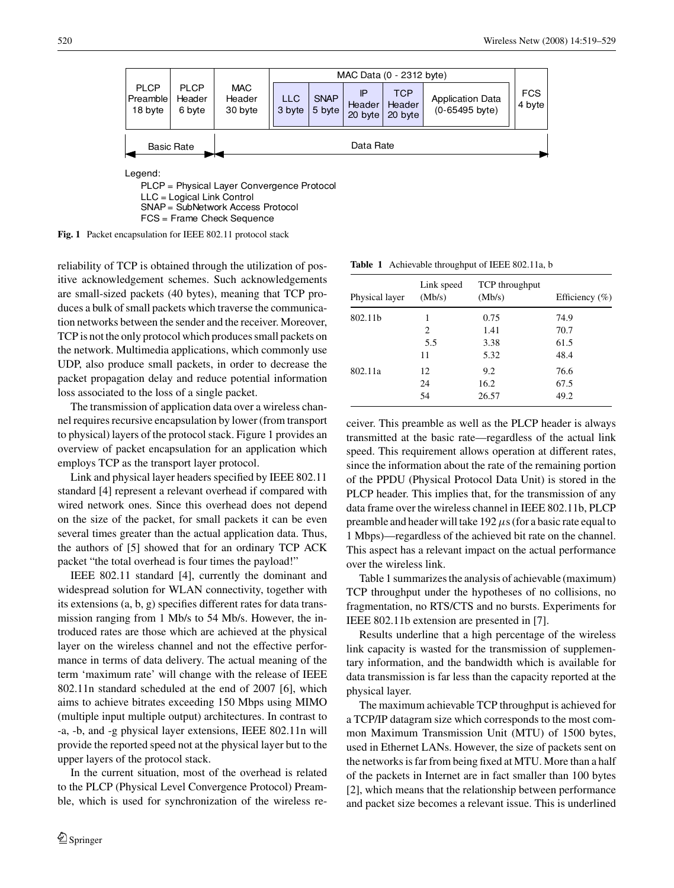

Legend:

PLCP = Physical Layer Convergence Protocol LLC = Logical Link Control SNAP = SubNetwork Access Protocol

FCS = Frame Check Sequence



reliability of TCP is obtained through the utilization of positive acknowledgement schemes. Such acknowledgements are small-sized packets (40 bytes), meaning that TCP produces a bulk of small packets which traverse the communication networks between the sender and the receiver. Moreover, TCP is not the only protocol which produces small packets on the network. Multimedia applications, which commonly use UDP, also produce small packets, in order to decrease the packet propagation delay and reduce potential information loss associated to the loss of a single packet.

The transmission of application data over a wireless channel requires recursive encapsulation by lower (from transport to physical) layers of the protocol stack. Figure 1 provides an overview of packet encapsulation for an application which employs TCP as the transport layer protocol.

Link and physical layer headers specified by IEEE 802.11 standard [4] represent a relevant overhead if compared with wired network ones. Since this overhead does not depend on the size of the packet, for small packets it can be even several times greater than the actual application data. Thus, the authors of [5] showed that for an ordinary TCP ACK packet "the total overhead is four times the payload!"

IEEE 802.11 standard [4], currently the dominant and widespread solution for WLAN connectivity, together with its extensions (a, b, g) specifies different rates for data transmission ranging from 1 Mb/s to 54 Mb/s. However, the introduced rates are those which are achieved at the physical layer on the wireless channel and not the effective performance in terms of data delivery. The actual meaning of the term 'maximum rate' will change with the release of IEEE 802.11n standard scheduled at the end of 2007 [6], which aims to achieve bitrates exceeding 150 Mbps using MIMO (multiple input multiple output) architectures. In contrast to -a, -b, and -g physical layer extensions, IEEE 802.11n will provide the reported speed not at the physical layer but to the upper layers of the protocol stack.

In the current situation, most of the overhead is related to the PLCP (Physical Level Convergence Protocol) Preamble, which is used for synchronization of the wireless re-

| Physical layer | Link speed<br>(Mb/s) | TCP throughput<br>(Mb/s) | Efficiency $(\% )$ |
|----------------|----------------------|--------------------------|--------------------|
| 802.11b        | 1                    | 0.75                     | 74.9               |
|                | 2                    | 1.41                     | 70.7               |
|                | 5.5                  | 3.38                     | 61.5               |
|                | 11                   | 5.32                     | 48.4               |
| 802.11a        | 12                   | 9.2                      | 76.6               |
|                | 24                   | 16.2                     | 67.5               |
|                | 54                   | 26.57                    | 49.2               |

**Table 1** Achievable throughput of IEEE 802.11a, b

ceiver. This preamble as well as the PLCP header is always transmitted at the basic rate—regardless of the actual link speed. This requirement allows operation at different rates, since the information about the rate of the remaining portion of the PPDU (Physical Protocol Data Unit) is stored in the PLCP header. This implies that, for the transmission of any data frame over the wireless channel in IEEE 802.11b, PLCP preamble and header will take 192  $\mu$ s (for a basic rate equal to 1 Mbps)—regardless of the achieved bit rate on the channel. This aspect has a relevant impact on the actual performance over the wireless link.

Table 1 summarizes the analysis of achievable (maximum) TCP throughput under the hypotheses of no collisions, no fragmentation, no RTS/CTS and no bursts. Experiments for IEEE 802.11b extension are presented in [7].

Results underline that a high percentage of the wireless link capacity is wasted for the transmission of supplementary information, and the bandwidth which is available for data transmission is far less than the capacity reported at the physical layer.

The maximum achievable TCP throughput is achieved for a TCP/IP datagram size which corresponds to the most common Maximum Transmission Unit (MTU) of 1500 bytes, used in Ethernet LANs. However, the size of packets sent on the networks is far from being fixed at MTU. More than a half of the packets in Internet are in fact smaller than 100 bytes [2], which means that the relationship between performance and packet size becomes a relevant issue. This is underlined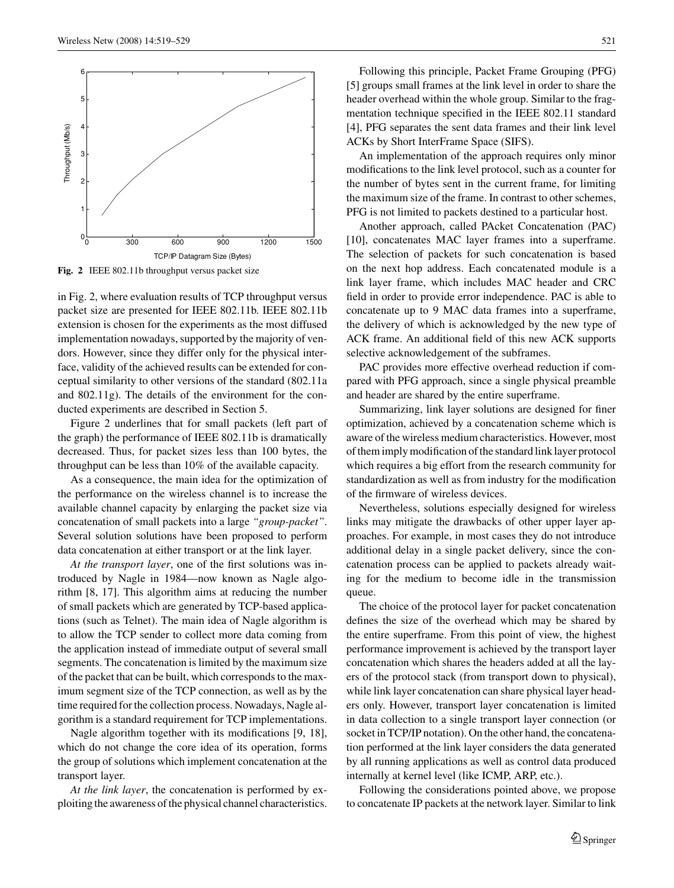

**Fig. 2** IEEE 802.11b throughput versus packet size

in Fig. 2, where evaluation results of TCP throughput versus packet size are presented for IEEE 802.11b. IEEE 802.11b extension is chosen for the experiments as the most diffused implementation nowadays, supported by the majority of vendors. However, since they differ only for the physical interface, validity of the achieved results can be extended for conceptual similarity to other versions of the standard (802.11a and 802.11g). The details of the environment for the conducted experiments are described in Section 5.

Figure 2 underlines that for small packets (left part of the graph) the performance of IEEE 802.11b is dramatically decreased. Thus, for packet sizes less than 100 bytes, the throughput can be less than 10% of the available capacity.

As a consequence, the main idea for the optimization of the performance on the wireless channel is to increase the available channel capacity by enlarging the packet size via concatenation of small packets into a large *"group-packet"*. Several solution solutions have been proposed to perform data concatenation at either transport or at the link layer.

*At the transport layer*, one of the first solutions was introduced by Nagle in 1984—now known as Nagle algorithm [8, 17]. This algorithm aims at reducing the number of small packets which are generated by TCP-based applications (such as Telnet). The main idea of Nagle algorithm is to allow the TCP sender to collect more data coming from the application instead of immediate output of several small segments. The concatenation is limited by the maximum size of the packet that can be built, which corresponds to the maximum segment size of the TCP connection, as well as by the time required for the collection process. Nowadays, Nagle algorithm is a standard requirement for TCP implementations.

Nagle algorithm together with its modifications [9, 18], which do not change the core idea of its operation, forms the group of solutions which implement concatenation at the transport layer.

*At the link layer*, the concatenation is performed by exploiting the awareness of the physical channel characteristics.

Following this principle, Packet Frame Grouping (PFG) [5] groups small frames at the link level in order to share the header overhead within the whole group. Similar to the fragmentation technique specified in the IEEE 802.11 standard [4], PFG separates the sent data frames and their link level ACKs by Short InterFrame Space (SIFS).

An implementation of the approach requires only minor modifications to the link level protocol, such as a counter for the number of bytes sent in the current frame, for limiting the maximum size of the frame. In contrast to other schemes, PFG is not limited to packets destined to a particular host.

Another approach, called PAcket Concatenation (PAC) [10], concatenates MAC layer frames into a superframe. The selection of packets for such concatenation is based on the next hop address. Each concatenated module is a link layer frame, which includes MAC header and CRC field in order to provide error independence. PAC is able to concatenate up to 9 MAC data frames into a superframe, the delivery of which is acknowledged by the new type of ACK frame. An additional field of this new ACK supports selective acknowledgement of the subframes.

PAC provides more effective overhead reduction if compared with PFG approach, since a single physical preamble and header are shared by the entire superframe.

Summarizing, link layer solutions are designed for finer optimization, achieved by a concatenation scheme which is aware of the wireless medium characteristics. However, most of them imply modification of the standard link layer protocol which requires a big effort from the research community for standardization as well as from industry for the modification of the firmware of wireless devices.

Nevertheless, solutions especially designed for wireless links may mitigate the drawbacks of other upper layer approaches. For example, in most cases they do not introduce additional delay in a single packet delivery, since the concatenation process can be applied to packets already waiting for the medium to become idle in the transmission queue.

The choice of the protocol layer for packet concatenation defines the size of the overhead which may be shared by the entire superframe. From this point of view, the highest performance improvement is achieved by the transport layer concatenation which shares the headers added at all the layers of the protocol stack (from transport down to physical), while link layer concatenation can share physical layer headers only. However, transport layer concatenation is limited in data collection to a single transport layer connection (or socket in TCP/IP notation). On the other hand, the concatenation performed at the link layer considers the data generated by all running applications as well as control data produced internally at kernel level (like ICMP, ARP, etc.).

Following the considerations pointed above, we propose to concatenate IP packets at the network layer. Similar to link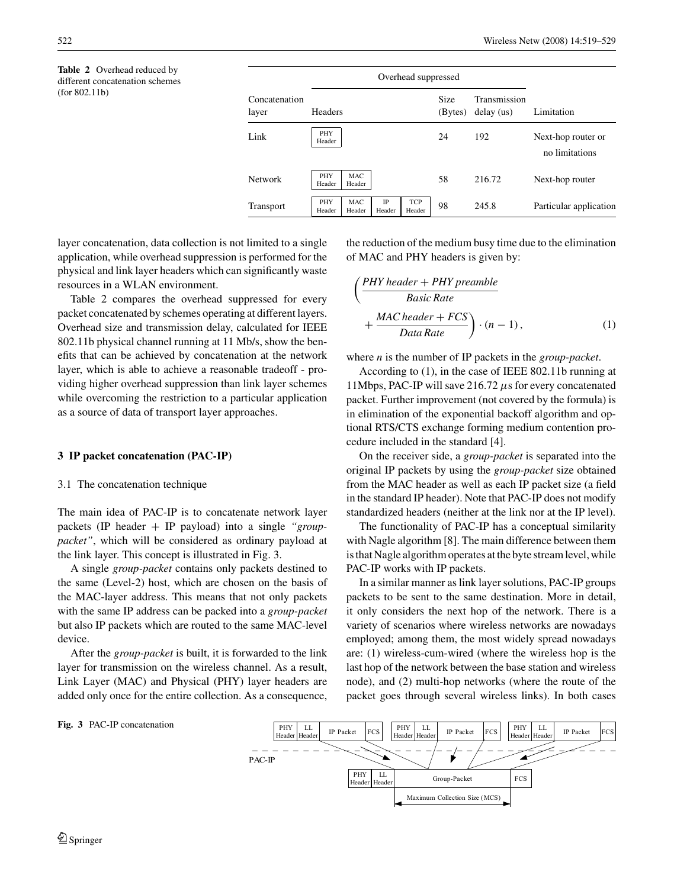**Table 2** Overhead reduced by different concatenation schemes (for 802.11b)

|                        | Overhead suppressed  |                      |                     |                      |                 |                            |                                      |
|------------------------|----------------------|----------------------|---------------------|----------------------|-----------------|----------------------------|--------------------------------------|
| Concatenation<br>layer | <b>Headers</b>       |                      |                     |                      | Size<br>(Bytes) | Transmission<br>delay (us) | Limitation                           |
| Link                   | PHY<br>Header        |                      |                     |                      | 24              | 192                        | Next-hop router or<br>no limitations |
| Network                | <b>PHY</b><br>Header | <b>MAC</b><br>Header |                     |                      | 58              | 216.72                     | Next-hop router                      |
| Transport              | <b>PHY</b><br>Header | <b>MAC</b><br>Header | <b>IP</b><br>Header | <b>TCP</b><br>Header | 98              | 245.8                      | Particular application               |

layer concatenation, data collection is not limited to a single application, while overhead suppression is performed for the physical and link layer headers which can significantly waste resources in a WLAN environment.

Table 2 compares the overhead suppressed for every packet concatenated by schemes operating at different layers. Overhead size and transmission delay, calculated for IEEE 802.11b physical channel running at 11 Mb/s, show the benefits that can be achieved by concatenation at the network layer, which is able to achieve a reasonable tradeoff - providing higher overhead suppression than link layer schemes while overcoming the restriction to a particular application as a source of data of transport layer approaches.

#### **3 IP packet concatenation (PAC-IP)**

#### 3.1 The concatenation technique

The main idea of PAC-IP is to concatenate network layer packets (IP header + IP payload) into a single *"grouppacket"*, which will be considered as ordinary payload at the link layer. This concept is illustrated in Fig. 3.

A single *group-packet* contains only packets destined to the same (Level-2) host, which are chosen on the basis of the MAC-layer address. This means that not only packets with the same IP address can be packed into a *group-packet* but also IP packets which are routed to the same MAC-level device.

After the *group-packet* is built, it is forwarded to the link layer for transmission on the wireless channel. As a result, Link Layer (MAC) and Physical (PHY) layer headers are added only once for the entire collection. As a consequence,

the reduction of the medium busy time due to the elimination of MAC and PHY headers is given by:

$$
\left(\frac{PHY \text{ header} + PHY \text{ preemptle}}{Basic \text{ Rate}} + \frac{MAC \text{ header} + FCS}{Data \text{ Rate}}\right) \cdot (n - 1),\tag{1}
$$

where *n* is the number of IP packets in the *group-packet*.

According to (1), in the case of IEEE 802.11b running at 11Mbps, PAC-IP will save 216.72  $\mu$ s for every concatenated packet. Further improvement (not covered by the formula) is in elimination of the exponential backoff algorithm and optional RTS/CTS exchange forming medium contention procedure included in the standard [4].

On the receiver side, a *group-packet* is separated into the original IP packets by using the *group-packet* size obtained from the MAC header as well as each IP packet size (a field in the standard IP header). Note that PAC-IP does not modify standardized headers (neither at the link nor at the IP level).

The functionality of PAC-IP has a conceptual similarity with Nagle algorithm [8]. The main difference between them is that Nagle algorithm operates at the byte stream level, while PAC-IP works with IP packets.

In a similar manner as link layer solutions, PAC-IP groups packets to be sent to the same destination. More in detail, it only considers the next hop of the network. There is a variety of scenarios where wireless networks are nowadays employed; among them, the most widely spread nowadays are: (1) wireless-cum-wired (where the wireless hop is the last hop of the network between the base station and wireless node), and (2) multi-hop networks (where the route of the packet goes through several wireless links). In both cases

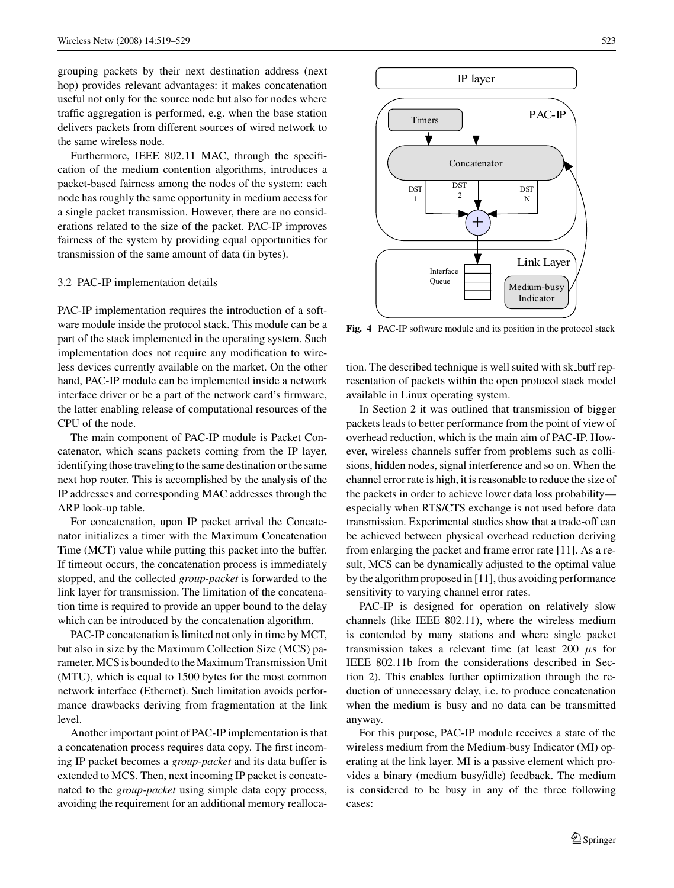grouping packets by their next destination address (next hop) provides relevant advantages: it makes concatenation useful not only for the source node but also for nodes where traffic aggregation is performed, e.g. when the base station delivers packets from different sources of wired network to the same wireless node.

Furthermore, IEEE 802.11 MAC, through the specification of the medium contention algorithms, introduces a packet-based fairness among the nodes of the system: each node has roughly the same opportunity in medium access for a single packet transmission. However, there are no considerations related to the size of the packet. PAC-IP improves fairness of the system by providing equal opportunities for transmission of the same amount of data (in bytes).

#### 3.2 PAC-IP implementation details

PAC-IP implementation requires the introduction of a software module inside the protocol stack. This module can be a part of the stack implemented in the operating system. Such implementation does not require any modification to wireless devices currently available on the market. On the other hand, PAC-IP module can be implemented inside a network interface driver or be a part of the network card's firmware, the latter enabling release of computational resources of the CPU of the node.

The main component of PAC-IP module is Packet Concatenator, which scans packets coming from the IP layer, identifying those traveling to the same destination or the same next hop router. This is accomplished by the analysis of the IP addresses and corresponding MAC addresses through the ARP look-up table.

For concatenation, upon IP packet arrival the Concatenator initializes a timer with the Maximum Concatenation Time (MCT) value while putting this packet into the buffer. If timeout occurs, the concatenation process is immediately stopped, and the collected *group-packet* is forwarded to the link layer for transmission. The limitation of the concatenation time is required to provide an upper bound to the delay which can be introduced by the concatenation algorithm.

PAC-IP concatenation is limited not only in time by MCT, but also in size by the Maximum Collection Size (MCS) parameter. MCS is bounded to the Maximum Transmission Unit (MTU), which is equal to 1500 bytes for the most common network interface (Ethernet). Such limitation avoids performance drawbacks deriving from fragmentation at the link level.

Another important point of PAC-IP implementation is that a concatenation process requires data copy. The first incoming IP packet becomes a *group-packet* and its data buffer is extended to MCS. Then, next incoming IP packet is concatenated to the *group-packet* using simple data copy process, avoiding the requirement for an additional memory realloca-



**Fig. 4** PAC-IP software module and its position in the protocol stack

tion. The described technique is well suited with sk buff representation of packets within the open protocol stack model available in Linux operating system.

In Section 2 it was outlined that transmission of bigger packets leads to better performance from the point of view of overhead reduction, which is the main aim of PAC-IP. However, wireless channels suffer from problems such as collisions, hidden nodes, signal interference and so on. When the channel error rate is high, it is reasonable to reduce the size of the packets in order to achieve lower data loss probability especially when RTS/CTS exchange is not used before data transmission. Experimental studies show that a trade-off can be achieved between physical overhead reduction deriving from enlarging the packet and frame error rate [11]. As a result, MCS can be dynamically adjusted to the optimal value by the algorithm proposed in [11], thus avoiding performance sensitivity to varying channel error rates.

PAC-IP is designed for operation on relatively slow channels (like IEEE 802.11), where the wireless medium is contended by many stations and where single packet transmission takes a relevant time (at least 200  $\mu$ s for IEEE 802.11b from the considerations described in Section 2). This enables further optimization through the reduction of unnecessary delay, i.e. to produce concatenation when the medium is busy and no data can be transmitted anyway.

For this purpose, PAC-IP module receives a state of the wireless medium from the Medium-busy Indicator (MI) operating at the link layer. MI is a passive element which provides a binary (medium busy/idle) feedback. The medium is considered to be busy in any of the three following cases: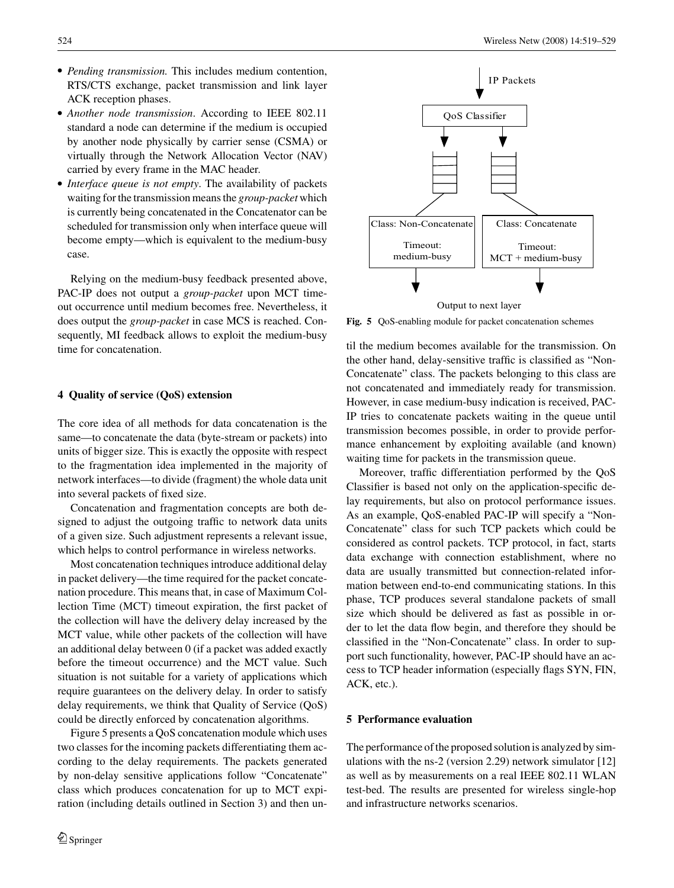- *Pending transmission.* This includes medium contention, RTS/CTS exchange, packet transmission and link layer ACK reception phases.
- *Another node transmission*. According to IEEE 802.11 standard a node can determine if the medium is occupied by another node physically by carrier sense (CSMA) or virtually through the Network Allocation Vector (NAV) carried by every frame in the MAC header.
- *Interface queue is not empty*. The availability of packets waiting for the transmission means the *group-packet* which is currently being concatenated in the Concatenator can be scheduled for transmission only when interface queue will become empty—which is equivalent to the medium-busy case.

Relying on the medium-busy feedback presented above, PAC-IP does not output a *group-packet* upon MCT timeout occurrence until medium becomes free. Nevertheless, it does output the *group-packet* in case MCS is reached. Consequently, MI feedback allows to exploit the medium-busy time for concatenation.

## **4 Quality of service (QoS) extension**

The core idea of all methods for data concatenation is the same—to concatenate the data (byte-stream or packets) into units of bigger size. This is exactly the opposite with respect to the fragmentation idea implemented in the majority of network interfaces—to divide (fragment) the whole data unit into several packets of fixed size.

Concatenation and fragmentation concepts are both designed to adjust the outgoing traffic to network data units of a given size. Such adjustment represents a relevant issue, which helps to control performance in wireless networks.

Most concatenation techniques introduce additional delay in packet delivery—the time required for the packet concatenation procedure. This means that, in case of Maximum Collection Time (MCT) timeout expiration, the first packet of the collection will have the delivery delay increased by the MCT value, while other packets of the collection will have an additional delay between 0 (if a packet was added exactly before the timeout occurrence) and the MCT value. Such situation is not suitable for a variety of applications which require guarantees on the delivery delay. In order to satisfy delay requirements, we think that Quality of Service (QoS) could be directly enforced by concatenation algorithms.

Figure 5 presents a QoS concatenation module which uses two classes for the incoming packets differentiating them according to the delay requirements. The packets generated by non-delay sensitive applications follow "Concatenate" class which produces concatenation for up to MCT expiration (including details outlined in Section 3) and then un-



**Fig. 5** QoS-enabling module for packet concatenation schemes

til the medium becomes available for the transmission. On the other hand, delay-sensitive traffic is classified as "Non-Concatenate" class. The packets belonging to this class are not concatenated and immediately ready for transmission. However, in case medium-busy indication is received, PAC-IP tries to concatenate packets waiting in the queue until transmission becomes possible, in order to provide performance enhancement by exploiting available (and known) waiting time for packets in the transmission queue.

Moreover, traffic differentiation performed by the QoS Classifier is based not only on the application-specific delay requirements, but also on protocol performance issues. As an example, QoS-enabled PAC-IP will specify a "Non-Concatenate" class for such TCP packets which could be considered as control packets. TCP protocol, in fact, starts data exchange with connection establishment, where no data are usually transmitted but connection-related information between end-to-end communicating stations. In this phase, TCP produces several standalone packets of small size which should be delivered as fast as possible in order to let the data flow begin, and therefore they should be classified in the "Non-Concatenate" class. In order to support such functionality, however, PAC-IP should have an access to TCP header information (especially flags SYN, FIN, ACK, etc.).

# **5 Performance evaluation**

The performance of the proposed solution is analyzed by simulations with the ns-2 (version 2.29) network simulator [12] as well as by measurements on a real IEEE 802.11 WLAN test-bed. The results are presented for wireless single-hop and infrastructure networks scenarios.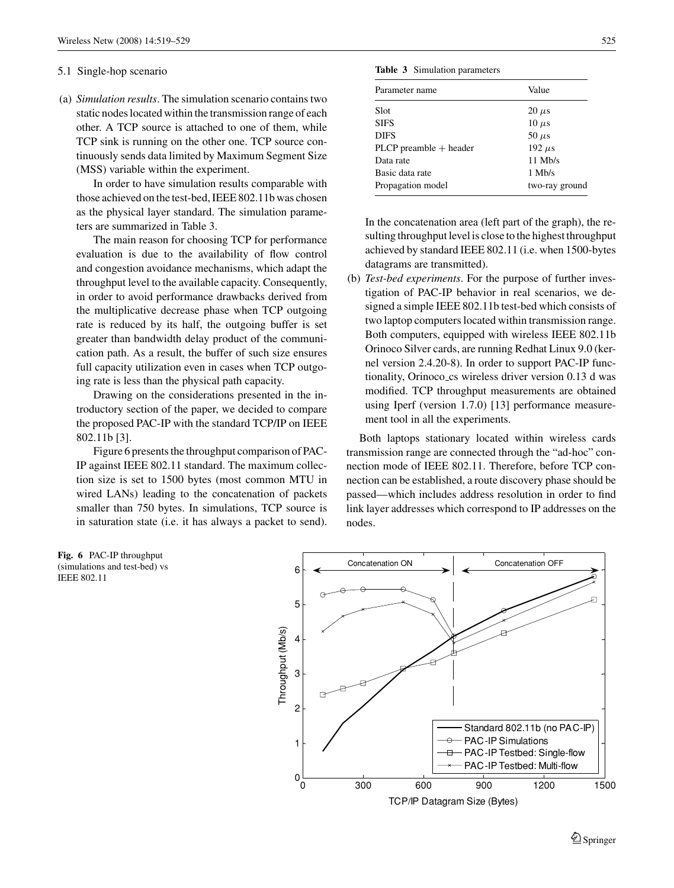# 5.1 Single-hop scenario

(simulations and test-bed) vs

IEEE 802.11

(a) *Simulation results*. The simulation scenario contains two static nodes located within the transmission range of each other. A TCP source is attached to one of them, while TCP sink is running on the other one. TCP source continuously sends data limited by Maximum Segment Size (MSS) variable within the experiment.

In order to have simulation results comparable with those achieved on the test-bed, IEEE 802.11b was chosen as the physical layer standard. The simulation parameters are summarized in Table 3.

The main reason for choosing TCP for performance evaluation is due to the availability of flow control and congestion avoidance mechanisms, which adapt the throughput level to the available capacity. Consequently, in order to avoid performance drawbacks derived from the multiplicative decrease phase when TCP outgoing rate is reduced by its half, the outgoing buffer is set greater than bandwidth delay product of the communication path. As a result, the buffer of such size ensures full capacity utilization even in cases when TCP outgoing rate is less than the physical path capacity.

Drawing on the considerations presented in the introductory section of the paper, we decided to compare the proposed PAC-IP with the standard TCP/IP on IEEE 802.11b [3].

Figure 6 presents the throughput comparison of PAC-IP against IEEE 802.11 standard. The maximum collection size is set to 1500 bytes (most common MTU in wired LANs) leading to the concatenation of packets smaller than 750 bytes. In simulations, TCP source is in saturation state (i.e. it has always a packet to send).

**Table 3** Simulation parameters

| Parameter name             | Value          |
|----------------------------|----------------|
| Slot                       | $20 \mu s$     |
| <b>SIFS</b>                | $10 \mu s$     |
| <b>DIFS</b>                | 50 $\mu$ s     |
| $PLCP$ preamble $+$ header | $192 \mu s$    |
| Data rate                  | $11$ Mb/s      |
| Basic data rate            | $1$ Mb/s       |
| Propagation model          | two-ray ground |

In the concatenation area (left part of the graph), the resulting throughput level is close to the highest throughput achieved by standard IEEE 802.11 (i.e. when 1500-bytes datagrams are transmitted).

(b) *Test-bed experiments*. For the purpose of further investigation of PAC-IP behavior in real scenarios, we designed a simple IEEE 802.11b test-bed which consists of two laptop computers located within transmission range. Both computers, equipped with wireless IEEE 802.11b Orinoco Silver cards, are running Redhat Linux 9.0 (kernel version 2.4.20-8). In order to support PAC-IP functionality, Orinoco cs wireless driver version 0.13 d was modified. TCP throughput measurements are obtained using Iperf (version 1.7.0) [13] performance measurement tool in all the experiments.

Both laptops stationary located within wireless cards transmission range are connected through the "ad-hoc" connection mode of IEEE 802.11. Therefore, before TCP connection can be established, a route discovery phase should be passed—which includes address resolution in order to find link layer addresses which correspond to IP addresses on the nodes.



TCP/IP Datagram Size (Bytes)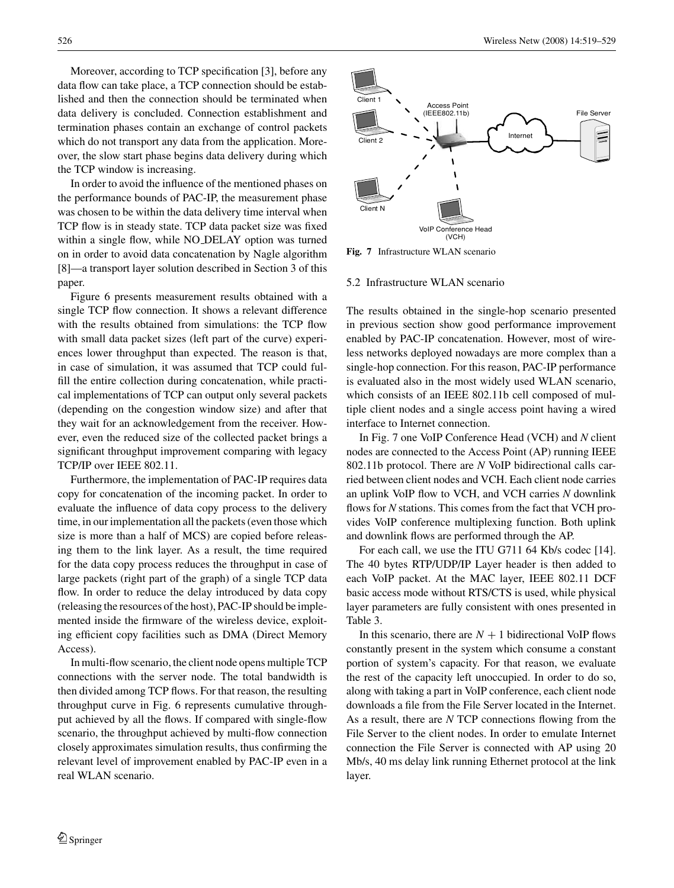Moreover, according to TCP specification [3], before any data flow can take place, a TCP connection should be established and then the connection should be terminated when data delivery is concluded. Connection establishment and termination phases contain an exchange of control packets which do not transport any data from the application. Moreover, the slow start phase begins data delivery during which the TCP window is increasing.

In order to avoid the influence of the mentioned phases on the performance bounds of PAC-IP, the measurement phase was chosen to be within the data delivery time interval when TCP flow is in steady state. TCP data packet size was fixed within a single flow, while NO DELAY option was turned on in order to avoid data concatenation by Nagle algorithm [8]—a transport layer solution described in Section 3 of this paper.

Figure 6 presents measurement results obtained with a single TCP flow connection. It shows a relevant difference with the results obtained from simulations: the TCP flow with small data packet sizes (left part of the curve) experiences lower throughput than expected. The reason is that, in case of simulation, it was assumed that TCP could fulfill the entire collection during concatenation, while practical implementations of TCP can output only several packets (depending on the congestion window size) and after that they wait for an acknowledgement from the receiver. However, even the reduced size of the collected packet brings a significant throughput improvement comparing with legacy TCP/IP over IEEE 802.11.

Furthermore, the implementation of PAC-IP requires data copy for concatenation of the incoming packet. In order to evaluate the influence of data copy process to the delivery time, in our implementation all the packets (even those which size is more than a half of MCS) are copied before releasing them to the link layer. As a result, the time required for the data copy process reduces the throughput in case of large packets (right part of the graph) of a single TCP data flow. In order to reduce the delay introduced by data copy (releasing the resources of the host), PAC-IP should be implemented inside the firmware of the wireless device, exploiting efficient copy facilities such as DMA (Direct Memory Access).

In multi-flow scenario, the client node opens multiple TCP connections with the server node. The total bandwidth is then divided among TCP flows. For that reason, the resulting throughput curve in Fig. 6 represents cumulative throughput achieved by all the flows. If compared with single-flow scenario, the throughput achieved by multi-flow connection closely approximates simulation results, thus confirming the relevant level of improvement enabled by PAC-IP even in a real WLAN scenario.



**Fig. 7** Infrastructure WLAN scenario

### 5.2 Infrastructure WLAN scenario

The results obtained in the single-hop scenario presented in previous section show good performance improvement enabled by PAC-IP concatenation. However, most of wireless networks deployed nowadays are more complex than a single-hop connection. For this reason, PAC-IP performance is evaluated also in the most widely used WLAN scenario, which consists of an IEEE 802.11b cell composed of multiple client nodes and a single access point having a wired interface to Internet connection.

In Fig. 7 one VoIP Conference Head (VCH) and *N* client nodes are connected to the Access Point (AP) running IEEE 802.11b protocol. There are *N* VoIP bidirectional calls carried between client nodes and VCH. Each client node carries an uplink VoIP flow to VCH, and VCH carries *N* downlink flows for *N* stations. This comes from the fact that VCH provides VoIP conference multiplexing function. Both uplink and downlink flows are performed through the AP.

For each call, we use the ITU G711 64 Kb/s codec [14]. The 40 bytes RTP/UDP/IP Layer header is then added to each VoIP packet. At the MAC layer, IEEE 802.11 DCF basic access mode without RTS/CTS is used, while physical layer parameters are fully consistent with ones presented in Table 3.

In this scenario, there are  $N + 1$  bidirectional VoIP flows constantly present in the system which consume a constant portion of system's capacity. For that reason, we evaluate the rest of the capacity left unoccupied. In order to do so, along with taking a part in VoIP conference, each client node downloads a file from the File Server located in the Internet. As a result, there are *N* TCP connections flowing from the File Server to the client nodes. In order to emulate Internet connection the File Server is connected with AP using 20 Mb/s, 40 ms delay link running Ethernet protocol at the link layer.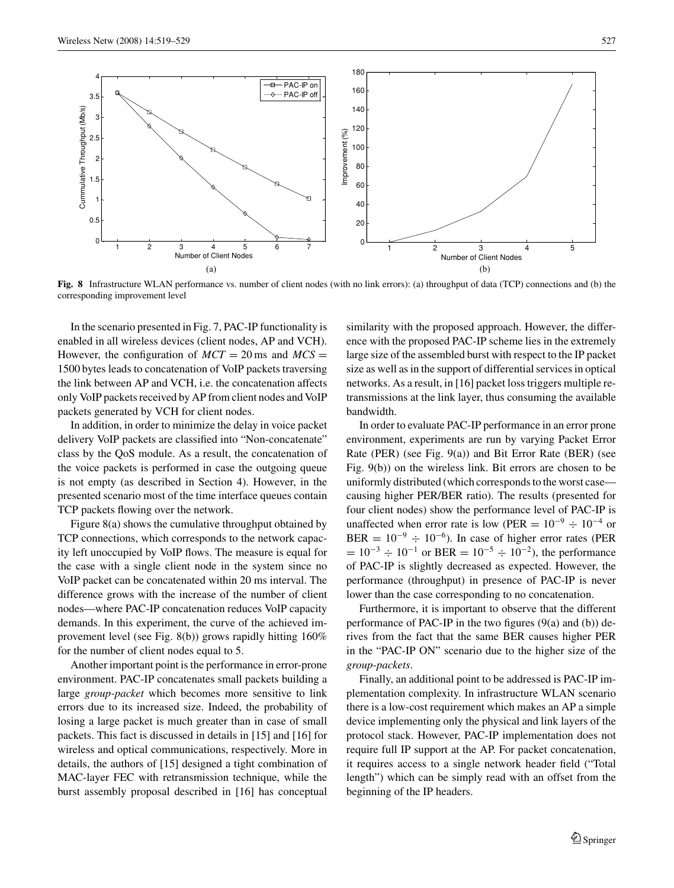

**Fig. 8** Infrastructure WLAN performance vs. number of client nodes (with no link errors): (a) throughput of data (TCP) connections and (b) the corresponding improvement level

In the scenario presented in Fig. 7, PAC-IP functionality is enabled in all wireless devices (client nodes, AP and VCH). However, the configuration of  $MCT = 20$  ms and  $MCS =$ 1500 bytes leads to concatenation of VoIP packets traversing the link between AP and VCH, i.e. the concatenation affects only VoIP packets received by AP from client nodes and VoIP packets generated by VCH for client nodes.

In addition, in order to minimize the delay in voice packet delivery VoIP packets are classified into "Non-concatenate" class by the QoS module. As a result, the concatenation of the voice packets is performed in case the outgoing queue is not empty (as described in Section 4). However, in the presented scenario most of the time interface queues contain TCP packets flowing over the network.

Figure 8(a) shows the cumulative throughput obtained by TCP connections, which corresponds to the network capacity left unoccupied by VoIP flows. The measure is equal for the case with a single client node in the system since no VoIP packet can be concatenated within 20 ms interval. The difference grows with the increase of the number of client nodes—where PAC-IP concatenation reduces VoIP capacity demands. In this experiment, the curve of the achieved improvement level (see Fig. 8(b)) grows rapidly hitting 160% for the number of client nodes equal to 5.

Another important point is the performance in error-prone environment. PAC-IP concatenates small packets building a large *group-packet* which becomes more sensitive to link errors due to its increased size. Indeed, the probability of losing a large packet is much greater than in case of small packets. This fact is discussed in details in [15] and [16] for wireless and optical communications, respectively. More in details, the authors of [15] designed a tight combination of MAC-layer FEC with retransmission technique, while the burst assembly proposal described in [16] has conceptual similarity with the proposed approach. However, the difference with the proposed PAC-IP scheme lies in the extremely large size of the assembled burst with respect to the IP packet size as well as in the support of differential services in optical networks. As a result, in [16] packet loss triggers multiple retransmissions at the link layer, thus consuming the available bandwidth.

In order to evaluate PAC-IP performance in an error prone environment, experiments are run by varying Packet Error Rate (PER) (see Fig. 9(a)) and Bit Error Rate (BER) (see Fig. 9(b)) on the wireless link. Bit errors are chosen to be uniformly distributed (which corresponds to the worst case causing higher PER/BER ratio). The results (presented for four client nodes) show the performance level of PAC-IP is unaffected when error rate is low (PER =  $10^{-9} \div 10^{-4}$  or BER =  $10^{-9} \div 10^{-6}$ ). In case of higher error rates (PER  $= 10^{-3} \div 10^{-1}$  or BER  $= 10^{-5} \div 10^{-2}$ ), the performance of PAC-IP is slightly decreased as expected. However, the performance (throughput) in presence of PAC-IP is never lower than the case corresponding to no concatenation.

Furthermore, it is important to observe that the different performance of PAC-IP in the two figures  $(9(a)$  and  $(b))$  derives from the fact that the same BER causes higher PER in the "PAC-IP ON" scenario due to the higher size of the *group-packets*.

Finally, an additional point to be addressed is PAC-IP implementation complexity. In infrastructure WLAN scenario there is a low-cost requirement which makes an AP a simple device implementing only the physical and link layers of the protocol stack. However, PAC-IP implementation does not require full IP support at the AP. For packet concatenation, it requires access to a single network header field ("Total length") which can be simply read with an offset from the beginning of the IP headers.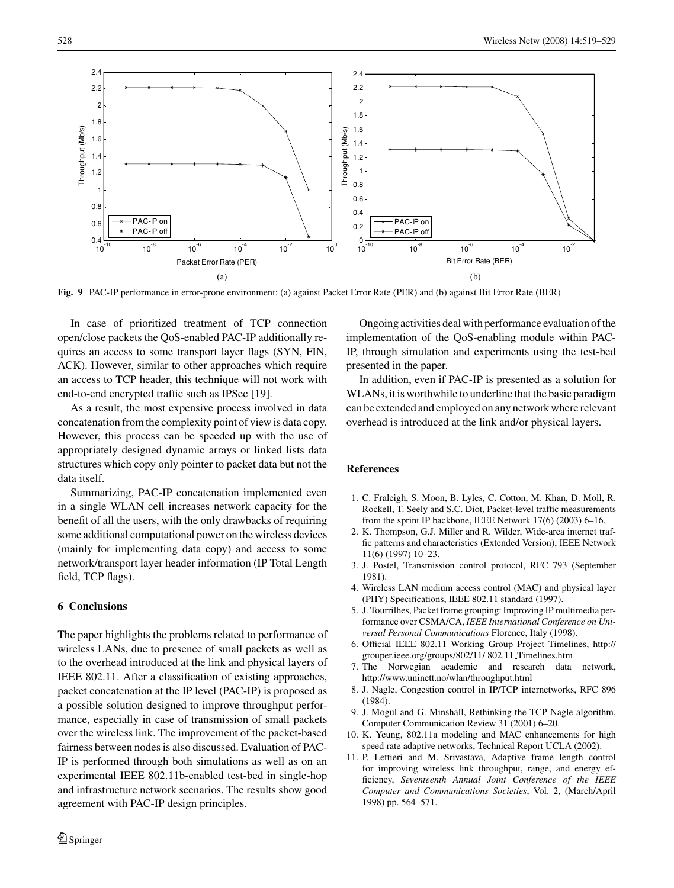

**Fig. 9** PAC-IP performance in error-prone environment: (a) against Packet Error Rate (PER) and (b) against Bit Error Rate (BER)

In case of prioritized treatment of TCP connection open/close packets the QoS-enabled PAC-IP additionally requires an access to some transport layer flags (SYN, FIN, ACK). However, similar to other approaches which require an access to TCP header, this technique will not work with end-to-end encrypted traffic such as IPSec [19].

As a result, the most expensive process involved in data concatenation from the complexity point of view is data copy. However, this process can be speeded up with the use of appropriately designed dynamic arrays or linked lists data structures which copy only pointer to packet data but not the data itself.

Summarizing, PAC-IP concatenation implemented even in a single WLAN cell increases network capacity for the benefit of all the users, with the only drawbacks of requiring some additional computational power on the wireless devices (mainly for implementing data copy) and access to some network/transport layer header information (IP Total Length field, TCP flags).

### **6 Conclusions**

The paper highlights the problems related to performance of wireless LANs, due to presence of small packets as well as to the overhead introduced at the link and physical layers of IEEE 802.11. After a classification of existing approaches, packet concatenation at the IP level (PAC-IP) is proposed as a possible solution designed to improve throughput performance, especially in case of transmission of small packets over the wireless link. The improvement of the packet-based fairness between nodes is also discussed. Evaluation of PAC-IP is performed through both simulations as well as on an experimental IEEE 802.11b-enabled test-bed in single-hop and infrastructure network scenarios. The results show good agreement with PAC-IP design principles.

Ongoing activities deal with performance evaluation of the implementation of the QoS-enabling module within PAC-IP, through simulation and experiments using the test-bed presented in the paper.

In addition, even if PAC-IP is presented as a solution for WLANs, it is worthwhile to underline that the basic paradigm can be extended and employed on any network where relevant overhead is introduced at the link and/or physical layers.

### **References**

- 1. C. Fraleigh, S. Moon, B. Lyles, C. Cotton, M. Khan, D. Moll, R. Rockell, T. Seely and S.C. Diot, Packet-level traffic measurements from the sprint IP backbone, IEEE Network 17(6) (2003) 6–16.
- 2. K. Thompson, G.J. Miller and R. Wilder, Wide-area internet traffic patterns and characteristics (Extended Version), IEEE Network 11(6) (1997) 10–23.
- 3. J. Postel, Transmission control protocol, RFC 793 (September 1981).
- 4. Wireless LAN medium access control (MAC) and physical layer (PHY) Specifications, IEEE 802.11 standard (1997).
- 5. J. Tourrilhes, Packet frame grouping: Improving IP multimedia performance over CSMA/CA, *IEEE International Conference on Universal Personal Communications* Florence, Italy (1998).
- 6. Official IEEE 802.11 Working Group Project Timelines, http:// grouper.ieee.org/groups/802/11/ 802.11 Timelines.htm
- 7. The Norwegian academic and research data network, http://www.uninett.no/wlan/throughput.html
- 8. J. Nagle, Congestion control in IP/TCP internetworks, RFC 896 (1984).
- 9. J. Mogul and G. Minshall, Rethinking the TCP Nagle algorithm, Computer Communication Review 31 (2001) 6–20.
- 10. K. Yeung, 802.11a modeling and MAC enhancements for high speed rate adaptive networks, Technical Report UCLA (2002).
- 11. P. Lettieri and M. Srivastava, Adaptive frame length control for improving wireless link throughput, range, and energy efficiency, *Seventeenth Annual Joint Conference of the IEEE Computer and Communications Societies*, Vol. 2, (March/April 1998) pp. 564–571.